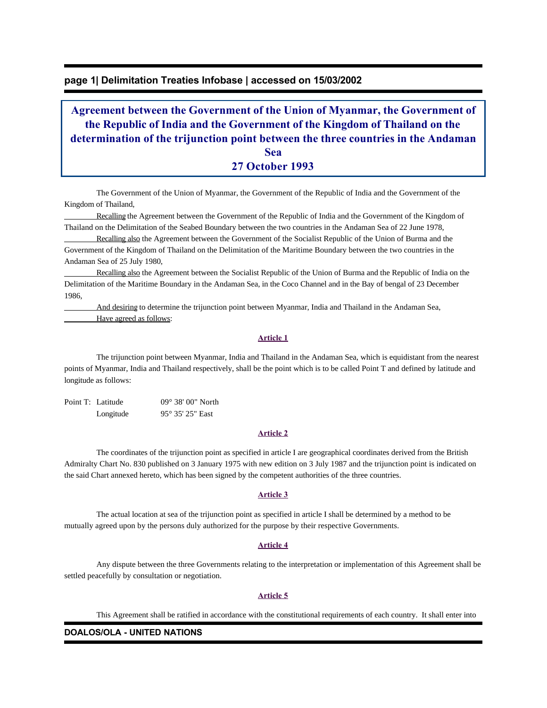### **page 1| Delimitation Treaties Infobase | accessed on 15/03/2002**

# **Agreement between the Government of the Union of Myanmar, the Government of the Republic of India and the Government of the Kingdom of Thailand on the determination of the trijunction point between the three countries in the Andaman Sea 27 October 1993**

 The Government of the Union of Myanmar, the Government of the Republic of India and the Government of the Kingdom of Thailand,

 Recalling the Agreement between the Government of the Republic of India and the Government of the Kingdom of Thailand on the Delimitation of the Seabed Boundary between the two countries in the Andaman Sea of 22 June 1978,

 Recalling also the Agreement between the Government of the Socialist Republic of the Union of Burma and the Government of the Kingdom of Thailand on the Delimitation of the Maritime Boundary between the two countries in the Andaman Sea of 25 July 1980,

 Recalling also the Agreement between the Socialist Republic of the Union of Burma and the Republic of India on the Delimitation of the Maritime Boundary in the Andaman Sea, in the Coco Channel and in the Bay of bengal of 23 December 1986,

 And desiring to determine the trijunction point between Myanmar, India and Thailand in the Andaman Sea, Have agreed as follows:

#### **Article 1**

 The trijunction point between Myanmar, India and Thailand in the Andaman Sea, which is equidistant from the nearest points of Myanmar, India and Thailand respectively, shall be the point which is to be called Point T and defined by latitude and longitude as follows:

Point T: Latitude 09° 38' 00" North Longitude 95° 35' 25" East

#### **Article 2**

 The coordinates of the trijunction point as specified in article I are geographical coordinates derived from the British Admiralty Chart No. 830 published on 3 January 1975 with new edition on 3 July 1987 and the trijunction point is indicated on the said Chart annexed hereto, which has been signed by the competent authorities of the three countries.

#### **Article 3**

 The actual location at sea of the trijunction point as specified in article I shall be determined by a method to be mutually agreed upon by the persons duly authorized for the purpose by their respective Governments.

#### **Article 4**

 Any dispute between the three Governments relating to the interpretation or implementation of this Agreement shall be settled peacefully by consultation or negotiation.

#### **Article 5**

This Agreement shall be ratified in accordance with the constitutional requirements of each country. It shall enter into

#### **DOALOS/OLA - UNITED NATIONS**